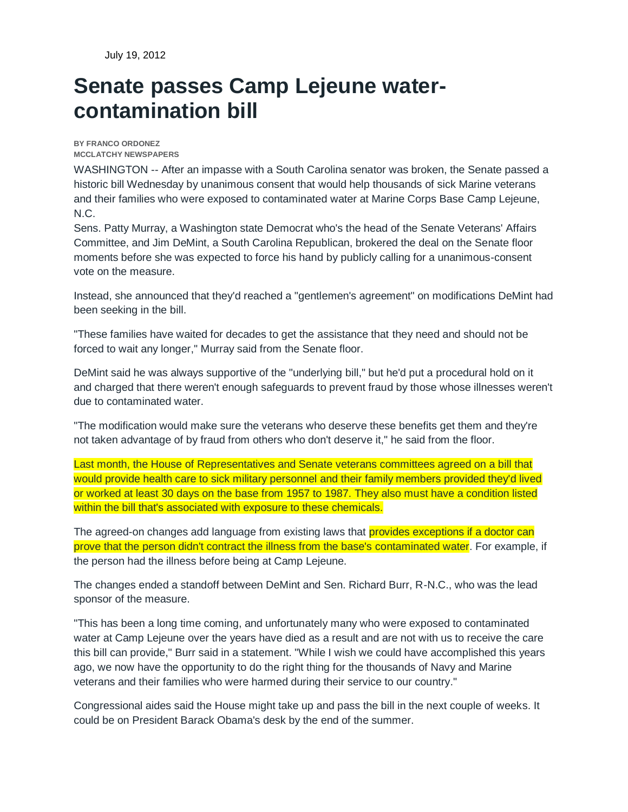July 19, 2012

## **Senate passes Camp Lejeune watercontamination bill**

**BY FRANCO ORDONEZ MCCLATCHY NEWSPAPERS**

WASHINGTON -- After an impasse with a South Carolina senator was broken, the Senate passed a historic bill Wednesday by unanimous consent that would help thousands of sick Marine veterans and their families who were exposed to contaminated water at Marine Corps Base Camp Lejeune, N.C.

Sens. Patty Murray, a Washington state Democrat who's the head of the Senate Veterans' Affairs Committee, and Jim DeMint, a South Carolina Republican, brokered the deal on the Senate floor moments before she was expected to force his hand by publicly calling for a unanimous-consent vote on the measure.

Instead, she announced that they'd reached a "gentlemen's agreement" on modifications DeMint had been seeking in the bill.

"These families have waited for decades to get the assistance that they need and should not be forced to wait any longer," Murray said from the Senate floor.

DeMint said he was always supportive of the "underlying bill," but he'd put a procedural hold on it and charged that there weren't enough safeguards to prevent fraud by those whose illnesses weren't due to contaminated water.

"The modification would make sure the veterans who deserve these benefits get them and they're not taken advantage of by fraud from others who don't deserve it," he said from the floor.

Last month, the House of Representatives and Senate veterans committees agreed on a bill that would provide health care to sick military personnel and their family members provided they'd lived or worked at least 30 days on the base from 1957 to 1987. They also must have a condition listed within the bill that's associated with exposure to these chemicals.

The agreed-on changes add language from existing laws that provides exceptions if a doctor can prove that the person didn't contract the illness from the base's contaminated water. For example, if the person had the illness before being at Camp Lejeune.

The changes ended a standoff between DeMint and Sen. Richard Burr, R-N.C., who was the lead sponsor of the measure.

"This has been a long time coming, and unfortunately many who were exposed to contaminated water at Camp Lejeune over the years have died as a result and are not with us to receive the care this bill can provide," Burr said in a statement. "While I wish we could have accomplished this years ago, we now have the opportunity to do the right thing for the thousands of Navy and Marine veterans and their families who were harmed during their service to our country."

Congressional aides said the House might take up and pass the bill in the next couple of weeks. It could be on President Barack Obama's desk by the end of the summer.